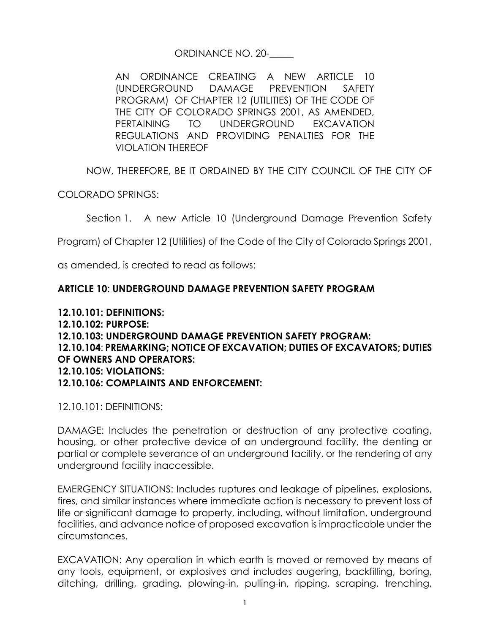## ORDINANCE NO. 20-\_\_\_\_\_

AN ORDINANCE CREATING A NEW ARTICLE 10 (UNDERGROUND DAMAGE PREVENTION SAFETY PROGRAM) OF CHAPTER 12 (UTILITIES) OF THE CODE OF THE CITY OF COLORADO SPRINGS 2001, AS AMENDED, PERTAINING TO UNDERGROUND EXCAVATION REGULATIONS AND PROVIDING PENALTIES FOR THE VIOLATION THEREOF

NOW, THEREFORE, BE IT ORDAINED BY THE CITY COUNCIL OF THE CITY OF

COLORADO SPRINGS:

Section 1. A new Article 10 (Underground Damage Prevention Safety

Program) of Chapter 12 (Utilities) of the Code of the City of Colorado Springs 2001,

as amended, is created to read as follows:

## **ARTICLE 10: UNDERGROUND DAMAGE PREVENTION SAFETY PROGRAM**

## **12.10.101: DEFINITIONS: 12.10.102: PURPOSE: 12.10.103: UNDERGROUND DAMAGE PREVENTION SAFETY PROGRAM: 12.10.104**: **PREMARKING; NOTICE OF EXCAVATION; DUTIES OF EXCAVATORS; DUTIES OF OWNERS AND OPERATORS: 12.10.105: VIOLATIONS: 12.10.106: COMPLAINTS AND ENFORCEMENT:**

12.10.101: DEFINITIONS:

DAMAGE: Includes the penetration or destruction of any protective coating, housing, or other protective device of an underground facility, the denting or partial or complete severance of an underground facility, or the rendering of any underground facility inaccessible.

EMERGENCY SITUATIONS: Includes ruptures and leakage of pipelines, explosions, fires, and similar instances where immediate action is necessary to prevent loss of life or significant damage to property, including, without limitation, underground facilities, and advance notice of proposed excavation is impracticable under the circumstances.

EXCAVATION: Any operation in which earth is moved or removed by means of any tools, equipment, or explosives and includes augering, backfilling, boring, ditching, drilling, grading, plowing-in, pulling-in, ripping, scraping, trenching,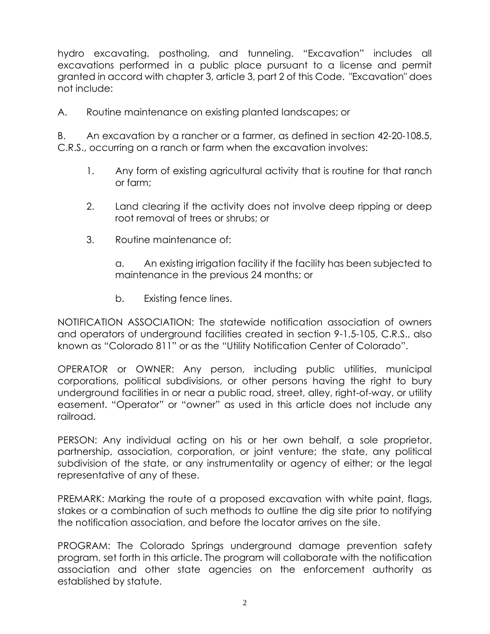hydro excavating, postholing, and tunneling. "Excavation" includes all excavations performed in a public place pursuant to a license and permit granted in accord with chapter 3, article 3, part 2 of this Code. "Excavation" does not include:

A. Routine maintenance on existing planted landscapes; or

B. An excavation by a rancher or a farmer, as defined in section 42-20-108.5, C.R.S., occurring on a ranch or farm when the excavation involves:

- 1. Any form of existing agricultural activity that is routine for that ranch or farm;
- 2. Land clearing if the activity does not involve deep ripping or deep root removal of trees or shrubs; or
- 3. Routine maintenance of:

a. An existing irrigation facility if the facility has been subjected to maintenance in the previous 24 months; or

b. Existing fence lines.

NOTIFICATION ASSOCIATION: The statewide notification association of owners and operators of underground facilities created in section 9-1.5-105, C.R.S., also known as "Colorado 811" or as the "Utility Notification Center of Colorado".

OPERATOR or OWNER: Any person, including public utilities, municipal corporations, political subdivisions, or other persons having the right to bury underground facilities in or near a public road, street, alley, right-of-way, or utility easement. "Operator" or "owner" as used in this article does not include any railroad.

PERSON: Any individual acting on his or her own behalf, a sole proprietor, partnership, association, corporation, or joint venture; the state, any political subdivision of the state, or any instrumentality or agency of either; or the legal representative of any of these.

PREMARK: Marking the route of a proposed excavation with white paint, flags, stakes or a combination of such methods to outline the dig site prior to notifying the notification association, and before the locator arrives on the site.

PROGRAM: The Colorado Springs underground damage prevention safety program, set forth in this article. The program will collaborate with the notification association and other state agencies on the enforcement authority as established by statute.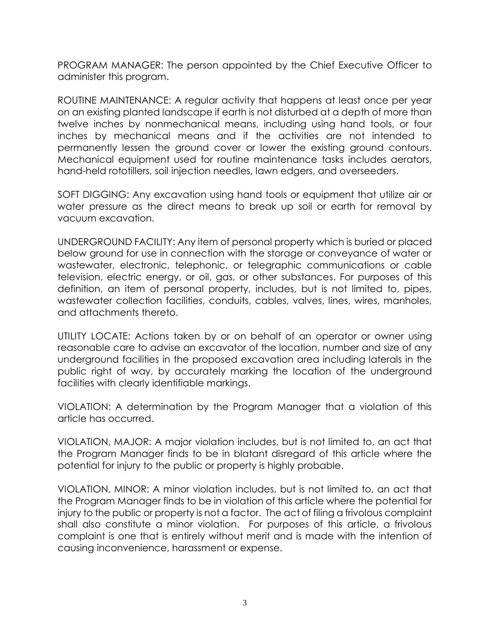PROGRAM MANAGER: The person appointed by the Chief Executive Officer to administer this program.

ROUTINE MAINTENANCE: A regular activity that happens at least once per year on an existing planted landscape if earth is not disturbed at a depth of more than twelve inches by nonmechanical means, including using hand tools, or four inches by mechanical means and if the activities are not intended to permanently lessen the ground cover or lower the existing ground contours. Mechanical equipment used for routine maintenance tasks includes aerators, hand-held rototillers, soil injection needles, lawn edgers, and overseeders.

SOFT DIGGING: Any excavation using hand tools or equipment that utilize air or water pressure as the direct means to break up soil or earth for removal by vacuum excavation.

UNDERGROUND FACILITY: Any item of personal property which is buried or placed below ground for use in connection with the storage or conveyance of water or wastewater, electronic, telephonic, or telegraphic communications or cable television, electric energy, or oil, gas, or other substances. For purposes of this definition, an item of personal property, includes, but is not limited to, pipes, wastewater collection facilities, conduits, cables, valves, lines, wires, manholes, and attachments thereto.

UTILITY LOCATE: Actions taken by or on behalf of an operator or owner using reasonable care to advise an excavator of the location, number and size of any underground facilities in the proposed excavation area including laterals in the public right of way, by accurately marking the location of the underground facilities with clearly identifiable markings.

VIOLATION: A determination by the Program Manager that a violation of this article has occurred.

VIOLATION, MAJOR: A major violation includes, but is not limited to, an act that the Program Manager finds to be in blatant disregard of this article where the potential for injury to the public or property is highly probable.

VIOLATION, MINOR: A minor violation includes, but is not limited to, an act that the Program Manager finds to be in violation of this article where the potential for injury to the public or property is not a factor. The act of filing a frivolous complaint shall also constitute a minor violation. For purposes of this article, a frivolous complaint is one that is entirely without merit and is made with the intention of causing inconvenience, harassment or expense.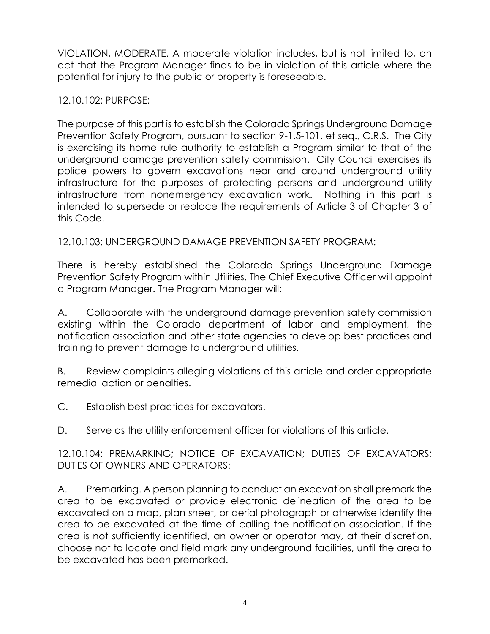VIOLATION, MODERATE. A moderate violation includes, but is not limited to, an act that the Program Manager finds to be in violation of this article where the potential for injury to the public or property is foreseeable.

12.10.102: PURPOSE:

The purpose of this part is to establish the Colorado Springs Underground Damage Prevention Safety Program, pursuant to section 9-1.5-101, et seq., C.R.S. The City is exercising its home rule authority to establish a Program similar to that of the underground damage prevention safety commission. City Council exercises its police powers to govern excavations near and around underground utility infrastructure for the purposes of protecting persons and underground utility infrastructure from nonemergency excavation work. Nothing in this part is intended to supersede or replace the requirements of Article 3 of Chapter 3 of this Code.

12.10.103: UNDERGROUND DAMAGE PREVENTION SAFETY PROGRAM:

There is hereby established the Colorado Springs Underground Damage Prevention Safety Program within Utilities. The Chief Executive Officer will appoint a Program Manager. The Program Manager will:

A. Collaborate with the underground damage prevention safety commission existing within the Colorado department of labor and employment, the notification association and other state agencies to develop best practices and training to prevent damage to underground utilities.

B. Review complaints alleging violations of this article and order appropriate remedial action or penalties.

C. Establish best practices for excavators.

D. Serve as the utility enforcement officer for violations of this article.

12.10.104: PREMARKING; NOTICE OF EXCAVATION; DUTIES OF EXCAVATORS; DUTIES OF OWNERS AND OPERATORS:

A. Premarking. A person planning to conduct an excavation shall premark the area to be excavated or provide electronic delineation of the area to be excavated on a map, plan sheet, or aerial photograph or otherwise identify the area to be excavated at the time of calling the notification association. If the area is not sufficiently identified, an owner or operator may, at their discretion, choose not to locate and field mark any underground facilities, until the area to be excavated has been premarked.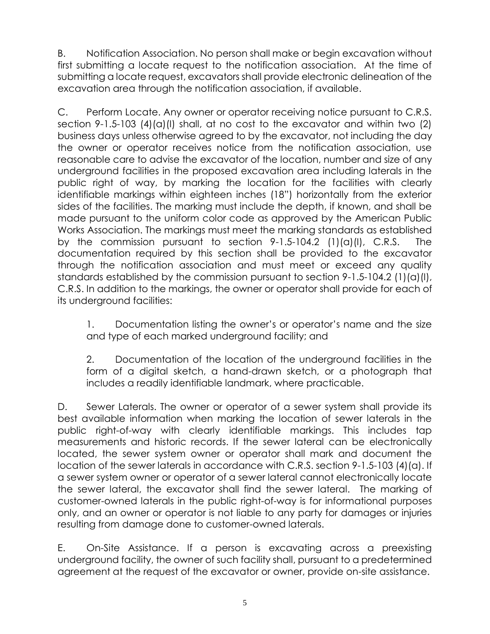B. Notification Association. No person shall make or begin excavation without first submitting a locate request to the notification association. At the time of submitting a locate request, excavators shall provide electronic delineation of the excavation area through the notification association, if available.

C. Perform Locate. Any owner or operator receiving notice pursuant to C.R.S. section 9-1.5-103  $(4)(a)(l)$  shall, at no cost to the excavator and within two  $(2)$ business days unless otherwise agreed to by the excavator, not including the day the owner or operator receives notice from the notification association, use reasonable care to advise the excavator of the location, number and size of any underground facilities in the proposed excavation area including laterals in the public right of way, by marking the location for the facilities with clearly identifiable markings within eighteen inches (18") horizontally from the exterior sides of the facilities. The marking must include the depth, if known, and shall be made pursuant to the uniform color code as approved by the American Public Works Association. The markings must meet the marking standards as established by the commission pursuant to section 9-1.5-104.2 (1)(a)(I), C.R.S. The documentation required by this section shall be provided to the excavator through the notification association and must meet or exceed any quality standards established by the commission pursuant to section 9-1.5-104.2 (1)(a)(I), C.R.S. In addition to the markings, the owner or operator shall provide for each of its underground facilities:

1. Documentation listing the owner's or operator's name and the size and type of each marked underground facility; and

2. Documentation of the location of the underground facilities in the form of a digital sketch, a hand-drawn sketch, or a photograph that includes a readily identifiable landmark, where practicable.

D. Sewer Laterals. The owner or operator of a sewer system shall provide its best available information when marking the location of sewer laterals in the public right-of-way with clearly identifiable markings. This includes tap measurements and historic records. If the sewer lateral can be electronically located, the sewer system owner or operator shall mark and document the location of the sewer laterals in accordance with C.R.S. section 9-1.5-103 (4)(a). If a sewer system owner or operator of a sewer lateral cannot electronically locate the sewer lateral, the excavator shall find the sewer lateral. The marking of customer-owned laterals in the public right-of-way is for informational purposes only, and an owner or operator is not liable to any party for damages or injuries resulting from damage done to customer-owned laterals.

E. On-Site Assistance. If a person is excavating across a preexisting underground facility, the owner of such facility shall, pursuant to a predetermined agreement at the request of the excavator or owner, provide on-site assistance.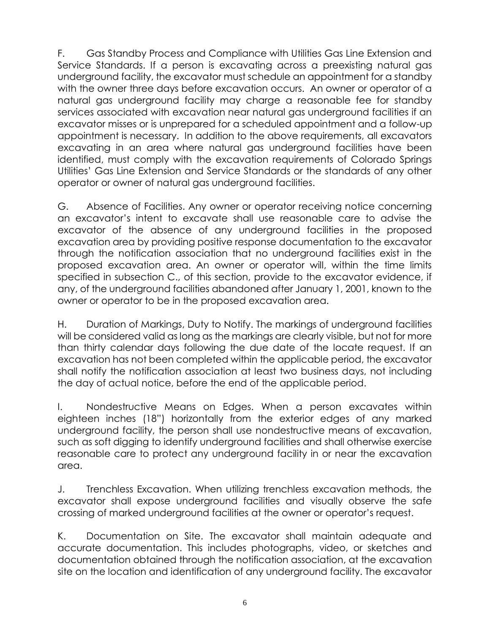F. Gas Standby Process and Compliance with Utilities Gas Line Extension and Service Standards. If a person is excavating across a preexisting natural gas underground facility, the excavator must schedule an appointment for a standby with the owner three days before excavation occurs. An owner or operator of a natural gas underground facility may charge a reasonable fee for standby services associated with excavation near natural gas underground facilities if an excavator misses or is unprepared for a scheduled appointment and a follow-up appointment is necessary. In addition to the above requirements, all excavators excavating in an area where natural gas underground facilities have been identified, must comply with the excavation requirements of Colorado Springs Utilities' Gas Line Extension and Service Standards or the standards of any other operator or owner of natural gas underground facilities.

G. Absence of Facilities. Any owner or operator receiving notice concerning an excavator's intent to excavate shall use reasonable care to advise the excavator of the absence of any underground facilities in the proposed excavation area by providing positive response documentation to the excavator through the notification association that no underground facilities exist in the proposed excavation area. An owner or operator will, within the time limits specified in subsection C., of this section, provide to the excavator evidence, if any, of the underground facilities abandoned after January 1, 2001, known to the owner or operator to be in the proposed excavation area.

H. Duration of Markings, Duty to Notify. The markings of underground facilities will be considered valid as long as the markings are clearly visible, but not for more than thirty calendar days following the due date of the locate request. If an excavation has not been completed within the applicable period, the excavator shall notify the notification association at least two business days, not including the day of actual notice, before the end of the applicable period.

I. Nondestructive Means on Edges. When a person excavates within eighteen inches (18") horizontally from the exterior edges of any marked underground facility, the person shall use nondestructive means of excavation, such as soft digging to identify underground facilities and shall otherwise exercise reasonable care to protect any underground facility in or near the excavation area.

J. Trenchless Excavation. When utilizing trenchless excavation methods, the excavator shall expose underground facilities and visually observe the safe crossing of marked underground facilities at the owner or operator's request.

K. Documentation on Site. The excavator shall maintain adequate and accurate documentation. This includes photographs, video, or sketches and documentation obtained through the notification association, at the excavation site on the location and identification of any underground facility. The excavator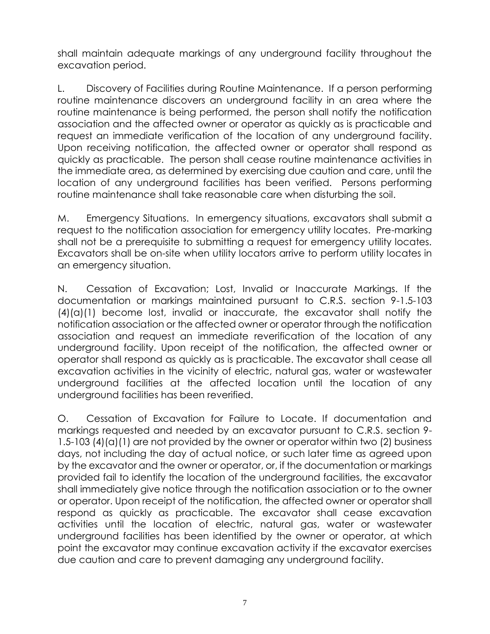shall maintain adequate markings of any underground facility throughout the excavation period.

L. Discovery of Facilities during Routine Maintenance. If a person performing routine maintenance discovers an underground facility in an area where the routine maintenance is being performed, the person shall notify the notification association and the affected owner or operator as quickly as is practicable and request an immediate verification of the location of any underground facility. Upon receiving notification, the affected owner or operator shall respond as quickly as practicable. The person shall cease routine maintenance activities in the immediate area, as determined by exercising due caution and care, until the location of any underground facilities has been verified. Persons performing routine maintenance shall take reasonable care when disturbing the soil.

M. Emergency Situations. In emergency situations, excavators shall submit a request to the notification association for emergency utility locates. Pre-marking shall not be a prerequisite to submitting a request for emergency utility locates. Excavators shall be on-site when utility locators arrive to perform utility locates in an emergency situation.

N. Cessation of Excavation; Lost, Invalid or Inaccurate Markings. If the documentation or markings maintained pursuant to C.R.S. section 9-1.5-103  $(4)(a)(1)$  become lost, invalid or inaccurate, the excavator shall notify the notification association or the affected owner or operator through the notification association and request an immediate reverification of the location of any underground facility. Upon receipt of the notification, the affected owner or operator shall respond as quickly as is practicable. The excavator shall cease all excavation activities in the vicinity of electric, natural gas, water or wastewater underground facilities at the affected location until the location of any underground facilities has been reverified.

O. Cessation of Excavation for Failure to Locate. If documentation and markings requested and needed by an excavator pursuant to C.R.S. section 9- 1.5-103 (4)(a)(1) are not provided by the owner or operator within two (2) business days, not including the day of actual notice, or such later time as agreed upon by the excavator and the owner or operator, or, if the documentation or markings provided fail to identify the location of the underground facilities, the excavator shall immediately give notice through the notification association or to the owner or operator. Upon receipt of the notification, the affected owner or operator shall respond as quickly as practicable. The excavator shall cease excavation activities until the location of electric, natural gas, water or wastewater underground facilities has been identified by the owner or operator, at which point the excavator may continue excavation activity if the excavator exercises due caution and care to prevent damaging any underground facility.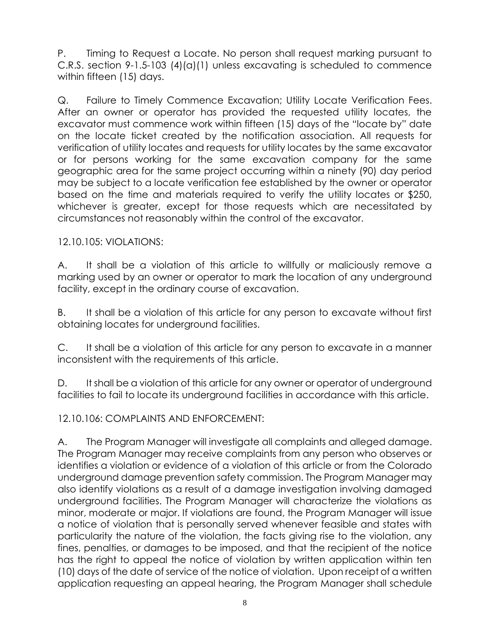P. Timing to Request a Locate. No person shall request marking pursuant to C.R.S. section 9-1.5-103 (4)(a)(1) unless excavating is scheduled to commence within fifteen (15) days.

Q. Failure to Timely Commence Excavation; Utility Locate Verification Fees. After an owner or operator has provided the requested utility locates, the excavator must commence work within fifteen (15) days of the "locate by" date on the locate ticket created by the notification association. All requests for verification of utility locates and requests for utility locates by the same excavator or for persons working for the same excavation company for the same geographic area for the same project occurring within a ninety (90) day period may be subject to a locate verification fee established by the owner or operator based on the time and materials required to verify the utility locates or \$250, whichever is greater, except for those requests which are necessitated by circumstances not reasonably within the control of the excavator.

## 12.10.105: VIOLATIONS:

A. It shall be a violation of this article to willfully or maliciously remove a marking used by an owner or operator to mark the location of any underground facility, except in the ordinary course of excavation.

B. It shall be a violation of this article for any person to excavate without first obtaining locates for underground facilities.

C. It shall be a violation of this article for any person to excavate in a manner inconsistent with the requirements of this article.

D. It shall be a violation of this article for any owner or operator of underground facilities to fail to locate its underground facilities in accordance with this article.

12.10.106: COMPLAINTS AND ENFORCEMENT:

A. The Program Manager will investigate all complaints and alleged damage. The Program Manager may receive complaints from any person who observes or identifies a violation or evidence of a violation of this article or from the Colorado underground damage prevention safety commission. The Program Manager may also identify violations as a result of a damage investigation involving damaged underground facilities. The Program Manager will characterize the violations as minor, moderate or major. If violations are found, the Program Manager will issue a notice of violation that is personally served whenever feasible and states with particularity the nature of the violation, the facts giving rise to the violation, any fines, penalties, or damages to be imposed, and that the recipient of the notice has the right to appeal the notice of violation by written application within ten (10) days of the date of service of the notice of violation. Upon receipt of a written application requesting an appeal hearing, the Program Manager shall schedule